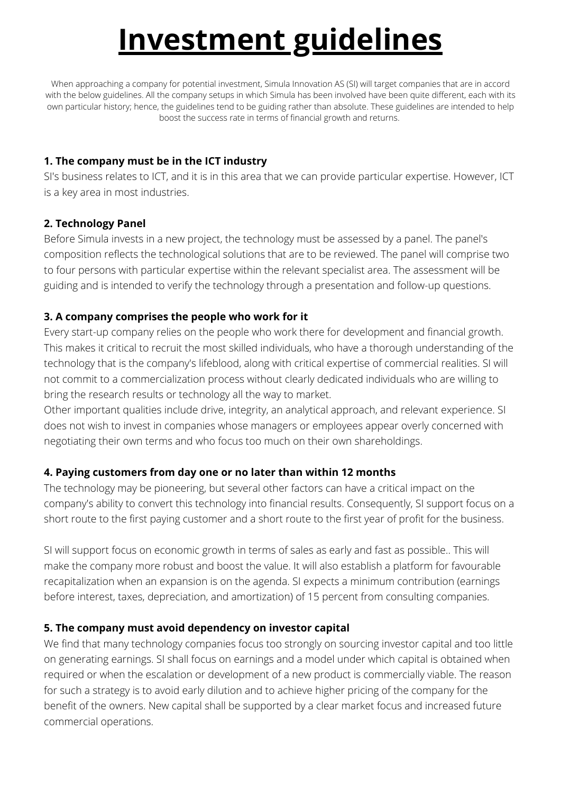# **Investment guidelines**

When approaching a company for potential investment, Simula Innovation AS (SI) will target companies that are in accord with the below guidelines. All the company setups in which Simula has been involved have been quite different, each with its own particular history; hence, the guidelines tend to be guiding rather than absolute. These guidelines are intended to help boost the success rate in terms of financial growth and returns.

### **1. The company must be in the ICT industry**

SI's business relates to ICT, and it is in this area that we can provide particular expertise. However, ICT is a key area in most industries.

#### **2. Technology Panel**

Before Simula invests in a new project, the technology must be assessed by a panel. The panel's composition reflects the technological solutions that are to be reviewed. The panel will comprise two to four persons with particular expertise within the relevant specialist area. The assessment will be guiding and is intended to verify the technology through a presentation and follow-up questions.

# **3. A company comprises the people who work for it**

Every start-up company relies on the people who work there for development and financial growth. This makes it critical to recruit the most skilled individuals, who have a thorough understanding of the technology that is the company's lifeblood, along with critical expertise of commercial realities. SI will not commit to a commercialization process without clearly dedicated individuals who are willing to bring the research results or technology all the way to market.

Other important qualities include drive, integrity, an analytical approach, and relevant experience. SI does not wish to invest in companies whose managers or employees appear overly concerned with negotiating their own terms and who focus too much on their own shareholdings.

# **4. Paying customers from day one or no later than within 12 months**

The technology may be pioneering, but several other factors can have a critical impact on the company's ability to convert this technology into financial results. Consequently, SI support focus on a short route to the first paying customer and a short route to the first year of profit for the business.

SI will support focus on economic growth in terms of sales as early and fast as possible.. This will make the company more robust and boost the value. It will also establish a platform for favourable recapitalization when an expansion is on the agenda. SI expects a minimum contribution (earnings before interest, taxes, depreciation, and amortization) of 15 percent from consulting companies.

# **5. The company must avoid dependency on investor capital**

We find that many technology companies focus too strongly on sourcing investor capital and too little on generating earnings. SI shall focus on earnings and a model under which capital is obtained when required or when the escalation or development of a new product is commercially viable. The reason for such a strategy is to avoid early dilution and to achieve higher pricing of the company for the benefit of the owners. New capital shall be supported by a clear market focus and increased future commercial operations.